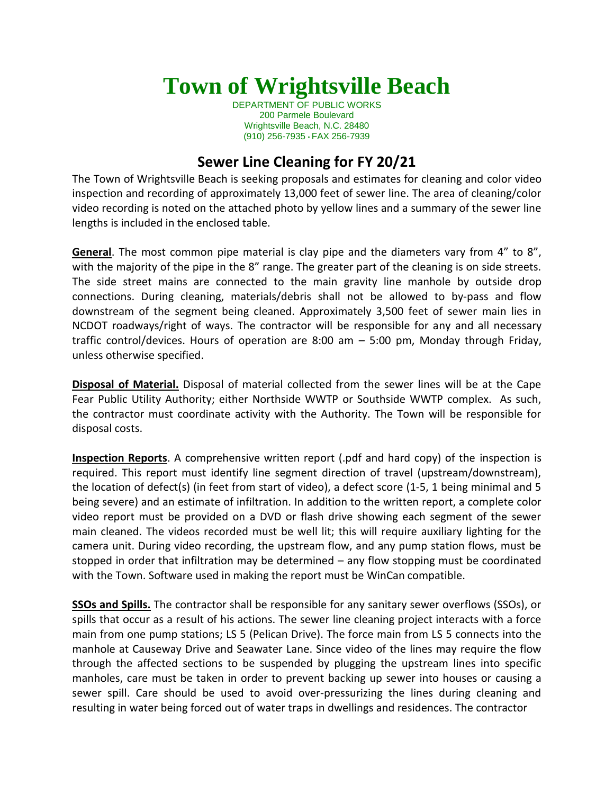## **Town of Wrightsville Beach**

DEPARTMENT OF PUBLIC WORKS 200 Parmele Boulevard Wrightsville Beach, N.C. 28480 (910) 256-7935 • FAX 256-7939

## **Sewer Line Cleaning for FY 20/21**

The Town of Wrightsville Beach is seeking proposals and estimates for cleaning and color video inspection and recording of approximately 13,000 feet of sewer line. The area of cleaning/color video recording is noted on the attached photo by yellow lines and a summary of the sewer line lengths is included in the enclosed table.

**General**. The most common pipe material is clay pipe and the diameters vary from 4" to 8", with the majority of the pipe in the 8" range. The greater part of the cleaning is on side streets. The side street mains are connected to the main gravity line manhole by outside drop connections. During cleaning, materials/debris shall not be allowed to by‐pass and flow downstream of the segment being cleaned. Approximately 3,500 feet of sewer main lies in NCDOT roadways/right of ways. The contractor will be responsible for any and all necessary traffic control/devices. Hours of operation are 8:00 am – 5:00 pm, Monday through Friday, unless otherwise specified.

**Disposal of Material.** Disposal of material collected from the sewer lines will be at the Cape Fear Public Utility Authority; either Northside WWTP or Southside WWTP complex. As such, the contractor must coordinate activity with the Authority. The Town will be responsible for disposal costs.

**Inspection Reports**. A comprehensive written report (.pdf and hard copy) of the inspection is required. This report must identify line segment direction of travel (upstream/downstream), the location of defect(s) (in feet from start of video), a defect score (1‐5, 1 being minimal and 5 being severe) and an estimate of infiltration. In addition to the written report, a complete color video report must be provided on a DVD or flash drive showing each segment of the sewer main cleaned. The videos recorded must be well lit; this will require auxiliary lighting for the camera unit. During video recording, the upstream flow, and any pump station flows, must be stopped in order that infiltration may be determined – any flow stopping must be coordinated with the Town. Software used in making the report must be WinCan compatible.

**SSOs and Spills.** The contractor shall be responsible for any sanitary sewer overflows (SSOs), or spills that occur as a result of his actions. The sewer line cleaning project interacts with a force main from one pump stations; LS 5 (Pelican Drive). The force main from LS 5 connects into the manhole at Causeway Drive and Seawater Lane. Since video of the lines may require the flow through the affected sections to be suspended by plugging the upstream lines into specific manholes, care must be taken in order to prevent backing up sewer into houses or causing a sewer spill. Care should be used to avoid over-pressurizing the lines during cleaning and resulting in water being forced out of water traps in dwellings and residences. The contractor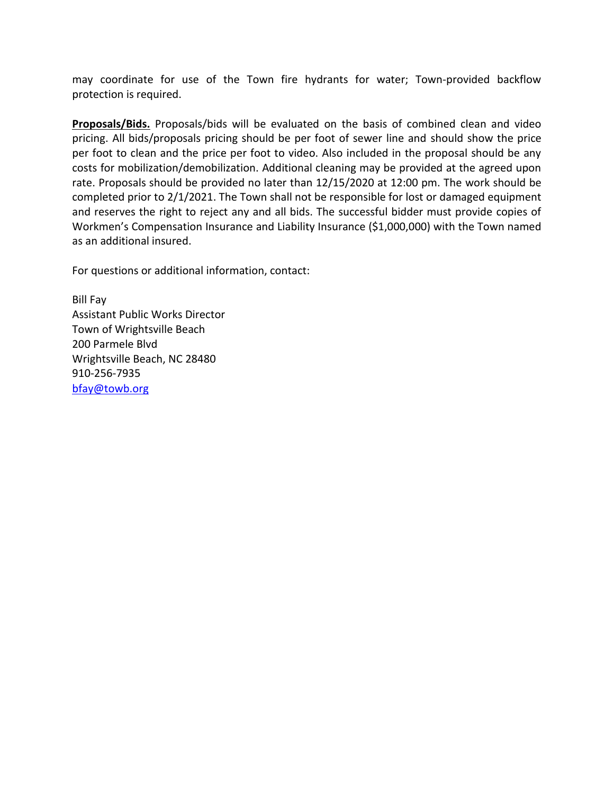may coordinate for use of the Town fire hydrants for water; Town‐provided backflow protection is required.

**Proposals/Bids.** Proposals/bids will be evaluated on the basis of combined clean and video pricing. All bids/proposals pricing should be per foot of sewer line and should show the price per foot to clean and the price per foot to video. Also included in the proposal should be any costs for mobilization/demobilization. Additional cleaning may be provided at the agreed upon rate. Proposals should be provided no later than 12/15/2020 at 12:00 pm. The work should be completed prior to 2/1/2021. The Town shall not be responsible for lost or damaged equipment and reserves the right to reject any and all bids. The successful bidder must provide copies of Workmen's Compensation Insurance and Liability Insurance (\$1,000,000) with the Town named as an additional insured.

For questions or additional information, contact:

Bill Fay Assistant Public Works Director Town of Wrightsville Beach 200 Parmele Blvd Wrightsville Beach, NC 28480 910‐256‐7935 [bfay@towb.org](mailto:bfay@towb.org)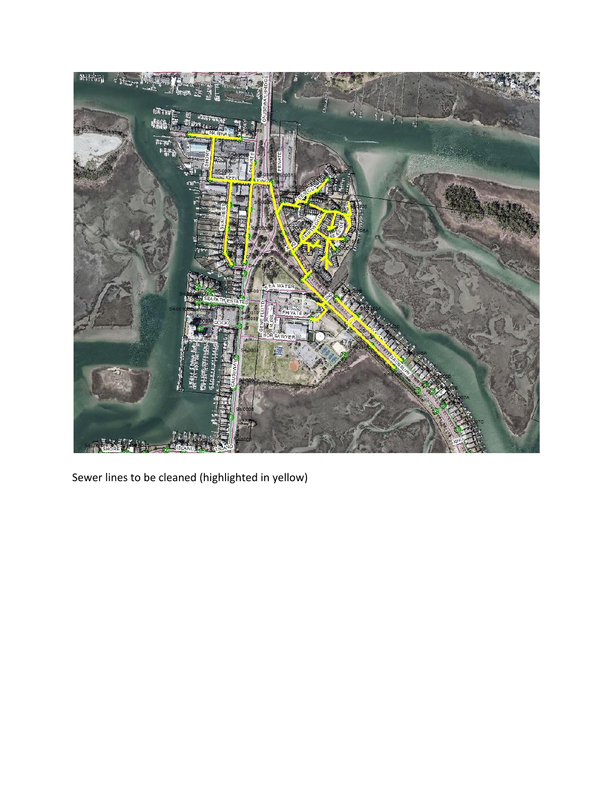

Sewer lines to be cleaned (highlighted in yellow)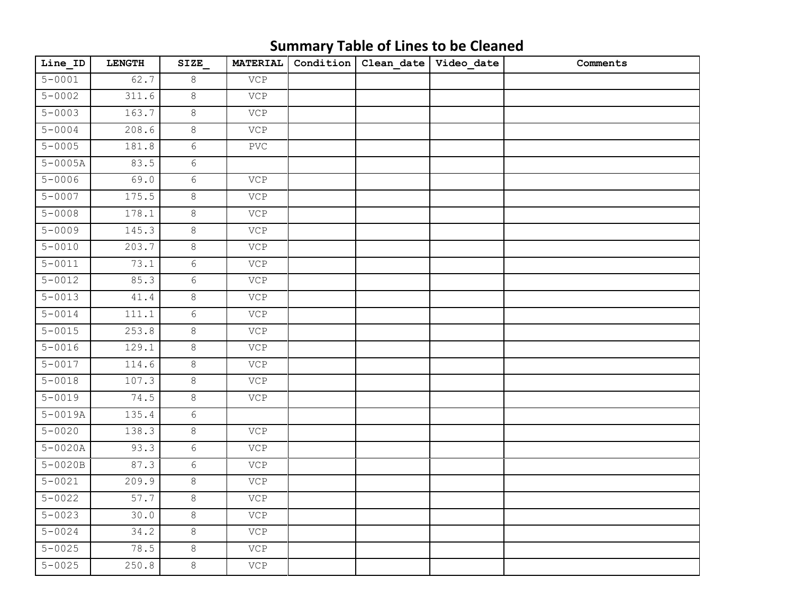| Line_ID     | <b>LENGTH</b> | SIZE            | <b>MATERIAL</b>           | Condition | Clean_date | Video_date | Comments |
|-------------|---------------|-----------------|---------------------------|-----------|------------|------------|----------|
| $5 - 0001$  | 62.7          | 8               | $\ensuremath{\text{VCP}}$ |           |            |            |          |
| $5 - 0002$  | 311.6         | 8               | <b>VCP</b>                |           |            |            |          |
| $5 - 0003$  | 163.7         | $\infty$        | VCP                       |           |            |            |          |
| $5 - 0004$  | 208.6         | $\,8\,$         | VCP                       |           |            |            |          |
| $5 - 0005$  | 181.8         | $6\phantom{.}$  | $\operatorname{PVC}$      |           |            |            |          |
| $5 - 0005A$ | 83.5          | 6               |                           |           |            |            |          |
| $5 - 0006$  | 69.0          | $6\overline{6}$ | VCP                       |           |            |            |          |
| $5 - 0007$  | 175.5         | $\,8\,$         | VCP                       |           |            |            |          |
| $5 - 0008$  | 178.1         | 8               | VCP                       |           |            |            |          |
| $5 - 0009$  | 145.3         | $\,8\,$         | VCP                       |           |            |            |          |
| $5 - 0010$  | 203.7         | 8               | VCP                       |           |            |            |          |
| $5 - 0011$  | 73.1          | $6\,$           | VCP                       |           |            |            |          |
| $5 - 0012$  | 85.3          | $6\overline{6}$ | VCP                       |           |            |            |          |
| $5 - 0013$  | 41.4          | $\infty$        | VCP                       |           |            |            |          |
| $5 - 0014$  | 111.1         | $6\phantom{.0}$ | VCP                       |           |            |            |          |
| $5 - 0015$  | 253.8         | 8               | <b>VCP</b>                |           |            |            |          |
| $5 - 0016$  | 129.1         | $\infty$        | VCP                       |           |            |            |          |
| $5 - 0017$  | 114.6         | $\infty$        | VCP                       |           |            |            |          |
| $5 - 0018$  | 107.3         | 8               | VCP                       |           |            |            |          |
| $5 - 0019$  | 74.5          | $8\,$           | VCP                       |           |            |            |          |
| $5 - 0019A$ | 135.4         | 6               |                           |           |            |            |          |
| $5 - 0020$  | 138.3         | $\,8\,$         | VCP                       |           |            |            |          |
| $5 - 0020A$ | 93.3          | $6\phantom{.}6$ | <b>VCP</b>                |           |            |            |          |
| $5 - 0020B$ | 87.3          | $6\,$           | $\ensuremath{\text{VCP}}$ |           |            |            |          |
| $5 - 0021$  | 209.9         | 8               | VCP                       |           |            |            |          |
| $5 - 0022$  | 57.7          | $8\,$           | VCP                       |           |            |            |          |
| $5 - 0023$  | 30.0          | $\,8\,$         | VCP                       |           |            |            |          |
| $5 - 0024$  | 34.2          | $\infty$        | VCP                       |           |            |            |          |
| $5 - 0025$  | 78.5          | $\,8\,$         | VCP                       |           |            |            |          |
| $5 - 0025$  | 250.8         | $\infty$        | VCP                       |           |            |            |          |

## **Summary Table of Lines to be Cleaned**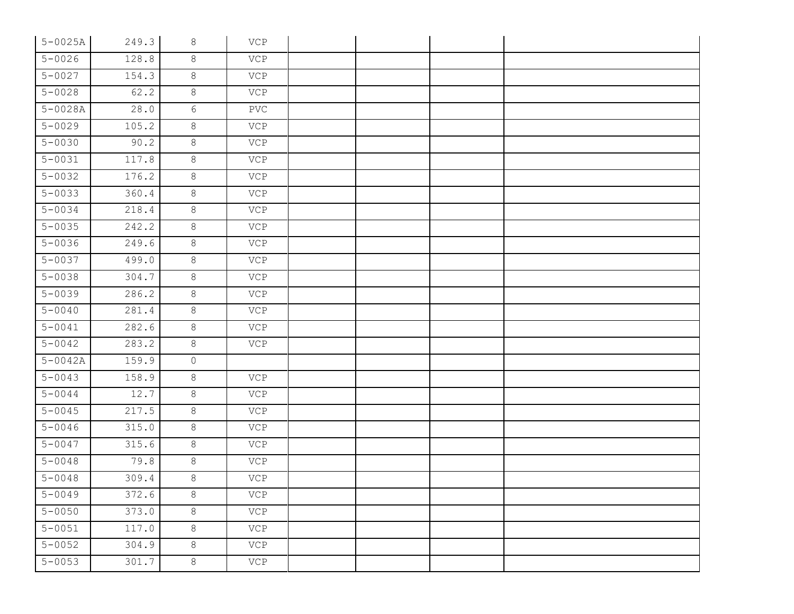| $5 - 0025A$ | 249.3 | 8        | VCP                       |  |  |
|-------------|-------|----------|---------------------------|--|--|
| $5 - 0026$  | 128.8 | 8        | VCP                       |  |  |
| $5 - 0027$  | 154.3 | $8\,$    | VCP                       |  |  |
| $5 - 0028$  | 62.2  | 8        | VCP                       |  |  |
| $5 - 0028A$ | 28.0  | 6        | $\operatorname{PVC}$      |  |  |
| $5 - 0029$  | 105.2 | $8\,$    | VCP                       |  |  |
| $5 - 0030$  | 90.2  | $8\,$    | VCP                       |  |  |
| $5 - 0031$  | 117.8 | $8\,$    | VCP                       |  |  |
| $5 - 0032$  | 176.2 | 8        | VCP                       |  |  |
| $5 - 0033$  | 360.4 | 8        | VCP                       |  |  |
| $5 - 0034$  | 218.4 | $\,8\,$  | VCP                       |  |  |
| $5 - 0035$  | 242.2 | $\infty$ | VCP                       |  |  |
| $5 - 0036$  | 249.6 | $8\,$    | VCP                       |  |  |
| $5 - 0037$  | 499.0 | 8        | VCP                       |  |  |
| $5 - 0038$  | 304.7 | 8        | VCP                       |  |  |
| $5 - 0039$  | 286.2 | 8        | VCP                       |  |  |
| $5 - 0040$  | 281.4 | $8\,$    | VCP                       |  |  |
| $5 - 0041$  | 282.6 | $8\,$    | VCP                       |  |  |
| $5 - 0042$  | 283.2 | $\infty$ | VCP                       |  |  |
| $5 - 0042A$ | 159.9 | $\circ$  |                           |  |  |
| $5 - 0043$  | 158.9 | 8        | VCP                       |  |  |
| $5 - 0044$  | 12.7  | 8        | VCP                       |  |  |
| $5 - 0045$  | 217.5 | $8\,$    | VCP                       |  |  |
| $5 - 0046$  | 315.0 | 8        | VCP                       |  |  |
| $5 - 0047$  | 315.6 | 8        | VCP                       |  |  |
| $5 - 0048$  | 79.8  | 8        | VCP                       |  |  |
| $5 - 0048$  | 309.4 | 8        | VCP                       |  |  |
| $5 - 0049$  | 372.6 | 8        | $\ensuremath{\text{VCP}}$ |  |  |
| $5 - 0050$  | 373.0 | $\,8\,$  | VCP                       |  |  |
| $5 - 0051$  | 117.0 | $\,8\,$  | VCP                       |  |  |
| $5 - 0052$  | 304.9 | $\,8\,$  | VCP                       |  |  |
| $5 - 0053$  | 301.7 | 8        | VCP                       |  |  |